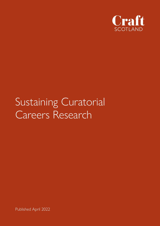

# Sustaining Curatorial Careers Research

Published April 2022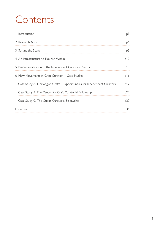# **Contents**

| 1. Introduction                                                         | <sub>p</sub> 3 |
|-------------------------------------------------------------------------|----------------|
| 2. Research Aims                                                        | <sub>D</sub> 4 |
| 3. Setting the Scene                                                    | p5             |
| 4. An Infrastructure to Flourish Within                                 | p10            |
| 5. Professionalisation of the Independent Curatorial Sector             | p13            |
| 6. New Movements in Craft Curation – Case Studies                       | p16            |
| Case Study A: Norwegian Crafts - Opportunities for Independent Curators | p17            |
| Case Study B: The Center for Craft Curatorial Fellowship                | p22            |
| Case Study C: The Cubitt Curatorial Fellowship                          | p27            |
| Endnotes                                                                | p31            |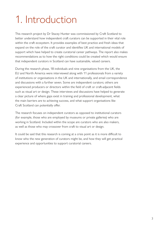# <span id="page-2-0"></span>1. Introduction

This research project by Dr Stacey Hunter was commissioned by Craft Scotland to better understand how independent craft curators can be supported in their vital role within the craft ecosystem. It provides examples of best practice and fresh ideas that expand on the role of the craft curator and identifies UK and international models of support which have helped to create curatorial career pathways. The report also makes recommendations as to how the right conditions could be created which would ensure that independent curators in Scotland can have sustainable, valued careers.

During the research phase, 18 individuals and nine organisations from the UK, the EU and North America were interviewed along with 11 professionals from a variety of institutions or organisations in the UK and internationally, and email correspondence and discussions with a further seven. Some are independent curators; others are experienced producers or directors within the field of craft or craft-adjacent fields such as visual art or design. These interviews and discussions have helped to generate a clear picture of where gaps exist in training and professional development, what the main barriers are to achieving success, and what support organisations like Craft Scotland can potentially offer.

The research focuses on independent curators as opposed to institutional curators (for example, those who are employed by museums or private galleries) who are working in Scotland. Included within the scope are curators who are also makers, as well as those who may crossover from craft to visual art or design.

It could be said that this research is coming at a crisis point as it is more difficult to know who the new generation of curators might be, and how they will get practical experience and opportunities to support curatorial careers.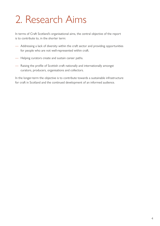# <span id="page-3-0"></span>2. Research Aims

In terms of Craft Scotland's organisational aims, the central objective of the report is to contribute to, in the shorter term:

- Addressing a lack of diversity within the craft sector and providing opportunities for people who are not well-represented within craft.
- Helping curators create and sustain career paths.
- Raising the profile of Scottish craft nationally and internationally amongst curators, producers, organisations and collectors.

In the longer-term the objective is to contribute towards a sustainable infrastructure for craft in Scotland and the continued development of an informed audience.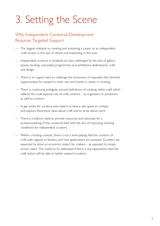# <span id="page-4-0"></span>3. Setting the Scene

#### Why Independent Curatorial Development Requires Targeted Support

- The biggest obstacle to creating and sustaining a career as an independent craft curator is the lack of clients commissioning in this area.
- Independent curators in Scotland are also challenged by the lack of gallery spaces, funding, and public programmes and exhibitions dedicated to craft and design.
- There is an urgent need to challenge the structures of inequality that diminish opportunities for people to enter into and sustain a career in curating.
- There is continuing ambiguity around definitions of curating within craft which reflects the multi-layered role of craft curators – as organisers or producers as well as curators.
- A gap exists for curators and makers to have a safe space to critique and explore theoretical ideas about craft and to write about work.
- There is a distinct need to provide resources and advocate for a professionalising of the curatorial field with the aim of improving working conditions for independent curators.
- Within a funding context, there is not a level playing field for curators of craft with regards to funders and how applications are assessed. Curators are expected to show an economic impact for makers – as opposed to simply artistic merit. This needs to be addressed if there is any expectation that the craft sector will be able to better support curators.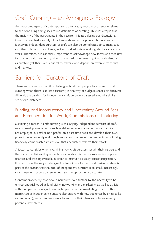## Craft Curating – an Ambiguous Ecology

An important aspect of contemporary craft-curating worthy of attention relates to the continuing ambiguity around definitions of curating. This was a topic that the majority of the participants in the research initiated during our discussions. Curators have had a variety of backgrounds and entry points into curating, and identifying independent curators of craft can also be complicated since many take on other roles – as consultants, writers, and educators – alongside their curatorial work. Therefore, it is especially important to acknowledge new forms and mediums for the curatorial. Some organisers of curated showcases might not self-identify as curators yet their role is critical to makers who depend on revenue from fairs and markets.

#### Barriers for Curators of Craft

There was consensus that it is challenging to attract people to a career in craft curating when there is so little currently in the way of budgets, spaces or discourse. All in all, the barriers for independent craft curators coalesced around a similar set of circumstances.

#### Funding, and Inconsistency and Uncertainty Around Fees and Remuneration for Work, Commissions or Tendering

Sustaining a career in craft curating is challenging. Independent curators of craft rely on small pieces of work such as delivering educational workshops and/or are employed by smaller non-profits on a part-time basis and develop their own projects independently – although importantly, often with no expectation of being financially compensated at any level that adequately reflects their efforts.

A factor to consider when examining how craft curators sustain their careers and the sorts of activities they undertake as curators, is the inconsistencies of place, finances and training available in order to maintain a steady career progression. It is fair to say the very challenging funding climate for craft and design curators is part of the reason that the pool of independent curators is so small. Increasingly only those with access to resources have the opportunity to curate.

Contemporaneously, that pool is narrowed even further by the necessity to be entrepreneurial; good at fundraising; networking and marketing; as well as au-fait with multiple technology-driven digital platforms. Self-marketing is part of this matrix too as independent curators also engage with new audiences by giving talks (often unpaid), and attending events to improve their chances of being seen by potential new clients.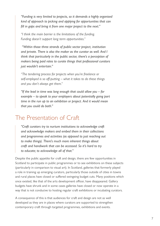*"Funding is very limited to projects, so it demands a highly organised kind of approach to picking and applying for opportunities that can fill in gaps and bring it from one major project to the next."* 

*"I think the main barrier is the limitations of the funding. Funding doesn't support long term opportunities."* 

 *"Within those three strands of public sector project, institution and private. There is also the maker as the curator as well. And I think that particularly in the public sector, there's a perception of makers being paid rates to curate things that professional curators just wouldn't entertain."*

*"The tendering process for projects when you're freelance or self-employed is so off-putting – what it takes to do these things and you don't always get them."*

*"If the lead in time was long enough that could allow you – for example – to speak to your employers about potentially going part time in the run up to an exhibition or project. And it would mean that you could do both."*

#### The Presentation of Craft

*"Craft curators try to nurture institutions to acknowledge craft and acknowledge makers and embed them in their collections and programmes and activities (as opposed to just reaching out to make things). There's much more inherent things about craft and handiwork that can be accessed. So it's hard to try to educate; to acknowledge all of that."*

Despite the public appetite for craft and design, there are few opportunities in Scotland to participate in public programmes or to see exhibitions on these subjects (particularly in comparison to visual art). In Scotland, galleries that formerly played a role in training up emerging curators, particularly those outside of cities in towns and rural places have closed or suffered swingeing budget cuts. Many positions which once existed, like that of the arts development officer, have disappeared. Gallery budgets have shrunk and in some cases galleries have closed or now operate in a way that is not conducive to hosting regular craft exhibitions or incubating curators.

A consequence of this is that audiences for craft and design are not as well developed as they are in places where curators are supported to strengthen contemporary craft through targeted programmes, exhibitions and events.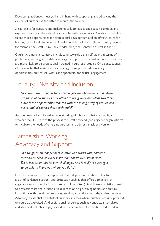Developing audiences must go hand in hand with supporting and advancing the careers of curators as the latter reinforces the former.

A gap exists for curators and makers equally to have a safe space to critique and explore theoretical ideas about craft and to write about work. Curators would like to see more opportunities for professional development and an infrastructure for learning and critical discussion to flourish, which could be facilitated through events, for example the Craft Think Tank model led by the Center For Craft in the US.

Currently, emerging curators in craft tend towards being self-taught in terms of public programming and exhibition design; as opposed to visual art, where curators are more likely to be professionally trained in curatorial studies. One consequence of this may be that makers are increasingly being presented principally with opportunities only to sell, with less opportunity for critical engagement.

## Equality, Diversity and Inclusion

*"It comes down to opportunity. Who gets the opportunity and where are those opportunities in Scotland to bring work and ideas together? Have those opportunities reduced with the falling away of venues and posts, and of courses that teach craft?"* 

An open minded and inclusive understanding of who and what curating is; and who can 'do' it, is part of the process for Craft Scotland (and adjacent organisations) to incubate the needs of emerging curators and address a lack of diversity.

## Partnership Working, Advocacy and Support

*"It's tough as an independent curator who works with different institutions because every institution has its own set of rules. Every institution has its own challenges. And it really is a struggle to be able to figure out where you fit in."* 

From this research it is very apparent that independent curators suffer from a lack of guidance, support, and protection such as that offered to artists by organisations such as the Scottish Artists Union (SAU). And there is a distinct need to professionalise the curatorial field in relation to governing bodies and cultural institutions with the aim of improving working conditions for independent curators. Advocacy is essential on behalf of curators, in areas where curators are unsupported or could be exploited. And professional resources such as contractual templates and standardised rates of pay should be made available for curators. Independent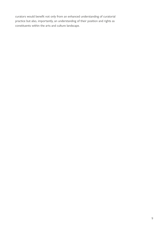curators would benefit not only from an enhanced understanding of curatorial practice but also, importantly, an understanding of their position and rights as constituents within the arts and culture landscape.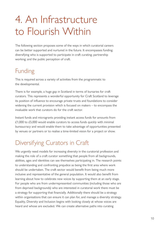# <span id="page-9-0"></span>4. An Infrastructure to Flourish Within

The following section proposes some of the ways in which curatorial careers can be better supported and nurtured in the future. It encompasses funding; diversifying who is supported to participate in craft curating; partnership working; and the public perception of craft.

#### Funding

This is required across a variety of activities from the programmatic to the developmental.

There is for example, a huge gap in Scotland in terms of bursaries for craft curators. This represents a wonderful opportunity for Craft Scotland to leverage its position of influence to encourage private trusts and foundations to consider widening the current provision which is focused on makers – to encompass the invaluable work that curators do for the craft sector.

Instant funds and microgrants providing instant access funds for amounts from £1,000 to £5,000 would enable curators to access funds quickly with minimal bureaucracy and would enable them to take advantage of opportunities presented by venues or partners or to realise a time-limited vision for a project or show.

## Diversifying Curators in Craft

We urgently need models for increasing diversity in the curatorial profession and making the role of a craft curator something that people from all backgrounds, abilities, ages and identities can see themselves participating in. The research points to understanding and confronting prejudice as being the first area where work should be undertaken. The craft sector would benefit from being much more inclusive and representative of the general population. It would also benefit from learning about how to celebrate new voices by supporting them at an early stage. For people who are from underrepresented communities (including those who are from deprived backgrounds) who are interested in curatorial work there must be a strategy for supporting that financially. Additionally there should be a strategy within organisations that can ensure it can plan for, and manage a diversity strategy. Equality, Diversity and Inclusion begins with looking closely at whose voices are heard and whose are excluded. We can create alternative paths into curating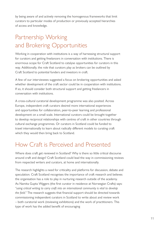by being aware of and actively removing the homogenous frameworks that limit curators to particular modes of production or previously accepted hierarchies of access and knowledge.

## Partnership Working and Brokering Opportunities

Working in cooperation with institutions is a way of harnessing structural support for curators and getting freelancers in conversation with institutions. There is enormous scope for Craft Scotland to catalyse opportunities for curators in this way. Additionally, the role that curators play as brokers can be outlined by Craft Scotland to potential funders and investors in craft.

A few of our interviewees suggested a focus on brokering opportunities and asked whether development of the craft sector could be in cooperation with institutions. If so, it should consider both structural support and getting freelancers in conversation with institutions.

A cross-cultural curatorial development programme was also posited. Across Europe, independent craft curators desired more international experiences and opportunities for collaboration, peer-to-peer learning and professional development on a small scale. International curators could be brought together to develop reciprocal relationships with centres of craft in other countries through cultural exchange programmes. Or curators in Scotland could be funded to travel internationally to learn about radically different models to curating craft which they would then bring back to Scotland.

### How Craft is Perceived and Presented

Where does craft get reviewed in Scotland? Why is there so little critical discourse around craft and design? Craft Scotland could lead the way in commissioning reviews from respected writers and curators, at home and internationally.

The research highlights a need for criticality and platforms for discussion, debate and speculation. Craft Scotland recognises the importance of craft research and believes the organisation has a role to play in nurturing research outside of the academy. As Namita Gupta Wiggers (the first curator in residence at Norwegian Crafts) says: *"using critical writing to carry craft into an international community is vital to develop the field."* The research suggests that financial support should be directed towards commissioning independent curators in Scotland to write about and review work – both curatorial work (reviewing exhibitions) and the work of practitioners. This type of work has the added benefit of encouraging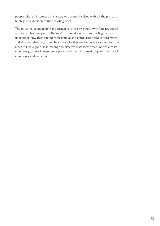people who are interested in curating to become involved without the pressure to stage an exhibition as their starting point.

The outcome of supporting and sustaining criticality is how, with funding, critical writing can become part of the work that we do in craft: supporting makers to understand how they can interpret critique and critical responses to their work and also how they might then be critical of either their own work or others. The result will be a good, solid, strong and effective craft sector that understands its own strengths, weaknesses and opportunities and is primed to grow in terms of complexity and ambition.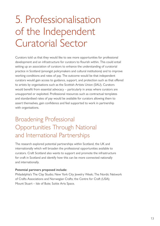# <span id="page-12-0"></span>5. Professionalisation of the Independent Curatorial Sector

Curators told us that they would like to see more opportunities for professional development and an infrastructure for curators to flourish within. This could entail setting up an association of curators to enhance the understanding of curatorial practice in Scotland (amongst policymakers and cultural institutions) and to improve working conditions and rates of pay. The outcome would be that independent curators would gain access to guidance, support, and protection such as that offered to artists by organisations such as the Scottish Artists Union (SAU). Curators would benefit from essential advocacy – particularly in areas where curators are unsupported or exploited. Professional resources such as contractual templates and standardised rates of pay would be available for curators allowing them to assert themselves, gain confidence and feel supported to work in partnership with organisations.

## Broadening Professional Opportunities Through National and International Partnerships

The research explored potential partnerships within Scotland, the UK and internationally which will broaden the professional opportunities available to curators. Craft Scotland also wants to support and promote the infrastructure for craft in Scotland and identify how this can be more connected nationally and internationally.

#### **Potential partners proposed include:**

Philadelphia's The Clay Studio; New York City Jewelry Week; The Nordic Network of Crafts Associations and Norwegian Crafts; the Centre for Craft (USA); Mount Stuart – Isle of Bute; Suttie Arts Space.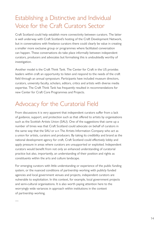## Establishing a Distinctive and Individual Voice for the Craft Curators Sector

Craft Scotland could help establish more connectivity between curators. The latter is well underway with Craft Scotland's hosting of the Craft Development Network, but in conversations with freelance curators there could clearly be value in creating a smaller more exclusive group or programmes where facilitated conversation can happen. These conversations do take place informally between independent curators, producers and advocates but formalising this is undoubtedly worthy of investigation.

Another model is the Craft Think Tank. The Center for Craft in the US provides leaders within craft an opportunity to listen and respond to the needs of the craft field through an annual symposium. Participants have included museum directors, curators, university faculty, scholars, editors, critics and artists with diverse media expertise. The Craft Think Tank has frequently resulted in recommendations for new Center for Craft Core Programmes and Projects.

### Advocacy for the Curatorial Field

From discussions it is very apparent that independent curators suffer from a lack of guidance, support, and protection such as that offered to artists by organisations such as the Scottish Artists Union (SAU). One of the suggestions that came up a number of times was that Craft Scotland could advocate on behalf of curators in the same way that the SAU or a-n The Artists Information Company who act as a union for artists, curators and producers. By taking its credibility and brand as the national development agency for craft, Craft Scotland could effectively lobby and apply pressure in areas where curators are unsupported or exploited. Independent curators would benefit from not only an enhanced understanding of curatorial practice but also, importantly, an understanding of their position and rights as constituents within the arts and culture landscape.

For emerging curators with little understanding or experience of the public funding system, or the nuanced conditions of partnership working with publicly funded agencies and local government venues and projects, independent curators are vulnerable to exploitation. In this context, for example, local government projects and semi-cultural organisations. It is also worth paying attention here to the worryingly wide variances in approach within institutions in the context of partnership working.

—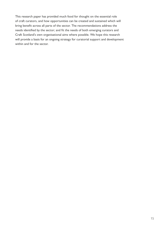This research paper has provided much food for thought on the essential role of craft curators, and how opportunities can be created and sustained which will bring benefit across all parts of the sector. The recommendations address the needs identified by the sector; and fit the needs of both emerging curators and Craft Scotland's own organisational aims where possible. We hope this research will provide a basis for an ongoing strategy for curatorial support and development within and for the sector.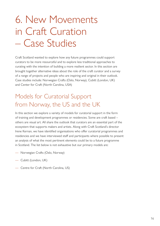# <span id="page-15-0"></span>6. New Movements in Craft Curation – Case Studies

Craft Scotland wanted to explore how any future programmes could support curators to be more resourceful and to explore less traditional approaches to curating with the intention of building a more resilient sector. In this section are brought together alternative ideas about the role of the craft curator and a survey of a range of projects and people who are inspiring and original in their outlook. Case studies include: Norwegian Crafts (Oslo, Norway), Cubitt (London, UK) and Center for Craft (North Carolina, USA)

### Models for Curatorial Support from Norway, the US and the UK

In this section we explore a variety of models for curatorial support in the form of training and development programmes or residencies. Some are craft based – others are visual art. All share the outlook that curators are an essential part of the ecosystem that supports makers and artists. Along with Craft Scotland's director Irene Kernan, we have identified organisations who offer curatorial programmes and residencies and we have interviewed staff and participants where possible to present an analysis of what the most pertinent elements could be to a future programme in Scotland. The list below is not exhaustive but our primary models are:

- Norwegian Crafts (Oslo, Norway)
- Cubitt (London, UK)
- Centre for Craft (North Carolina, US)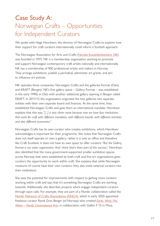## <span id="page-16-0"></span>Case Study A: Norwegian Crafts – Opportunities for Independent Curators

We spoke with Hege Henriksen, the director of Norwegian Crafts to explore how their support for craft curators internationally could inform a Scottish approach.

The Norwegian Association for Arts and Crafts ([Norske Kunsthåndverkere, NK\)](https://norskekunsthandverkere.no) was founded in 1975. NK is a membership organisation working to promote and support Norwegian contemporary craft artists nationally and internationally. NK has a membership of 900 professional artists and makers in Norway. They arrange exhibitions, publish a periodical, administer art grants, and aim to influence art policies.

NK operates three companies: Norwegian Crafts and the galleries Format (Oslo) and KRAFT (Bergen). NK's first gallery space – Gallery Format – was established in the early 1990s in Oslo with another additional gallery opening in Bergen called KRAFT. In 2011/12 the organisation organised the two galleries into separate entities with their own separate board and finances. At the same time, they established Norwegian Crafts and gave them an international mandate. Henriksen explains that this was *"[...] a very clever move because now we have four institutions that work for craft with different mandates, with different boards, with different activities and also different economies."* 

Norwegian Crafts has its own curator who creates exhibitions, which Henriksen acknowledges is important for their programme. She notes that Norwegian Crafts does not itself operate or own a gallery; rather it is only an office and therefore like Craft Scotland, it does not have its own space to offer curators *"But the Gallery Format is our sister organisation. And I think that's been part of this success."* Henriksen also identified that the many government-supported smaller exhibition spaces across Norway that were established by both craft and fine art organisations gives curators the opportunity to work within craft. She explains that while Norwegian museums of course have their own curators, they also invite external curators into their institutions.

She sees the potential for improvements with respect to getting more curators working within craft and says that it's something Norwegian Crafts are working towards. Additionally, she describes projects which engage independent curators through open calls. For example, they are part of a Nordic collaboration called the [Nordic Network of Crafts Associations \(NNCA\),](https://norskekunsthandverkere.no) which in early 2020 appointed freelance curator Randi Grov Berger (of Norway) who created *[Earth, Wind, Fire,](https://nordiccrafts.net/projects/earth-wind-fire-water)  [Water](https://nordiccrafts.net/projects/earth-wind-fire-water) – Nordic Contemporary Arts*, in collaboration with Galleri F 15 in Moss,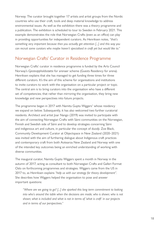Norway. The curator brought together 17 artists and artist groups from the Nordic countries who use their craft, tools and deep material knowledge to address environmental issues. As well as the exhibition there was a theory programme and a publication. The exhibition is scheduled to tour to Sweden in February 2021. This example demonstrates the role that Norwegian Crafts (even as an office) can play in providing opportunities for independent curators. As Henriksen notes, *"that's something very important because then you actually get attention [...] and this way you can recruit some curators who maybe haven't specialised in craft yet but would like to."*

#### Norwegian Crafts' Curator in Residence Programme

Norwegian Crafts' curator in residence programme is funded by the Arts Council Norway's *Gjesteoppholdsstøtte* for arenaer scheme (Guests Residency for arena). Henriksen explains that she has managed to get funding three times for three different curators. It's the aim of this scheme for organisations and institutions to invite curators to work with the organisation on a particular project or topic. The central aim is to bring curators into the organisation who have a different set of competencies; that rather than mirroring the organisation, they bring new knowledge and new perspectives into future projects.

The programme began in 2017 with Namita Gupta Wiggers<sup>1</sup> whose residency we expand on below. Subsequently, it has also welcomed two further curatorial residents. Architect and artist Joar Nango (2019) was invited to participate with the aim of connecting Norwegian Crafts with Sámi communities on the Norwegian, Finnish and Swedish side of Sámi and to develop strategies concerning Sámi and indigenous art and culture, in particular the concept of duodji. Zoe Black, Community Development Curator at Objectspace in New Zealand (2020–2021) was invited with the aim of furthering dialogue about Indigenous craft practices and contemporary craft from both Aotearoa New Zealand and Norway with one of the intended key outcomes being an enriched understanding of working with diverse communities.

The inaugural curator, Namita Gupta Wiggers spent a month in Norway in the autumn of 2017, acting as consultant to both Norwegian Crafts and Galleri Format Oslo on forthcoming programmes and strategies. Wiggers came from the US in 2017 to, as Henriksen explains *"help us with our strategy for theory development"*. She describes how Wiggers helped the organisation to pose and answer important questions:

*"Where are we going to go? [...] she sparked this long term commitment to looking into who's around the table when the decisions are made; who is shown; who is not shown; what is included and what is not in terms of 'what is craft' in our projects and in terms of our perspectives."*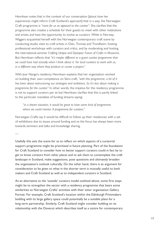Henriksen notes that in the context of our conversation [about how her experiences might inform Craft Scotland's approach] that in a way, the Norwegian Craft programme is *"more for us as opposed to the curator"*. She clarifies that the programme also creates a schedule for their guests to meet with other institutions and artists and have the opportunity to evolve as curators. While in Norway, Wiggers acquainted herself with the Norwegian contemporary craft scene by conducting studio visits to craft artists in Oslo, Tromsø and Trondheim, hosting professional workshops with curators and critics, and by moderating and hosting the international seminar *Crafting Utopia and Dystopia: Future of Crafts in Museums*. But Henriksen reflects that *"it's maybe different to a guest curator programme that we could have had actually when I think about it. For local curators to work with us, in a different way where they produce or curate a project."*

With Joar Nango's residency Henriksen explains that her organisation worked on building their own competence on Sámi craft, *"with this programme, a lot of it has been about restructuring our strategies and ambitions. So it's less about making a programme for the curator."* In other words, the impetus for the residency programme is not to support curators per se but Henriksen clarifies that this is partly linked to the particular mandates of funding streams saying:

*"in a dream situation, it would be great to have some kind of programme where we could mentor. A programme for curators."*

Norwegian Crafts say it would be difficult to follow up their residencies with a set of exhibitions due to issues around funding and so the focus has always been more towards seminars and talks and knowledge sharing.

—

Usefully this sets the scene for us to reflect on which aspects of a curatorial support programme might be prioritised in future planning. Part of the foundation for Craft Scotland to consider how to better support curators could in fact be to get to know curators from other places and to ask them to contemplate the craft landscape in Scotland, make suggestions, pose questions and ultimately broaden the organisation's outlook culturally. On the other hand, there is an argument for consideration to be given to what in the shorter term is mutually useful to both makers and Craft Scotland as well as to independent curators in Scotland.

As an alternative to the 'outside' curators model outlined above; some first steps might be to strengthen the sector with a residency programme that bears some similarities to Norwegian Crafts' activities with their sister organisation Gallery Format. For example, Craft Scotland's location within the Edinburgh Printmakers building with its large gallery space could potentially be a suitable place for a long term partnership. Similarly, Craft Scotland might consider building on its relationship with the Dovecot which describes itself as a centre for contemporary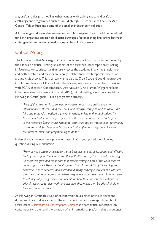art, craft and design as well as other venues with gallery space and craft or craft-adjacent programmes such as (in Edinburgh) Custom Lane; The City Art Centre; Talbot Rice and some of the smaller independent galleries.

A knowledge and ideas sharing session with Norwegian Crafts could be beneficial for both organisations to help discuss strategies for improving brokerage between craft agencies and national institutions on behalf of curators.

#### Critical Writing

The framework that Norwegian Crafts uses to support curators is underpinned by their focus on critical writing; an aspect of the curatorial landscape sorely lacking in Scotland. Here, critical writing rarely leaves the academy in any meaningful way and both curators and makers are largely isolated from contemporary discussion around craft theory. This is certainly an area that Craft Scotland could incorporate into future plans and it fits well with the learning we have absorbed from speaking with SCAN (Scottish Contemporary Art Network). As Namita Wiggers reflects in her interview with Benjamin Lignel (2018), critical writing is not only crucial to Norwegian Crafts' goals – it is a programme strategy.

*"Part of their mission is to connect Norwegian artists and craftspeople to international contexts – and they do it well through writing as well as various art fairs and symposia. I noticed a growth in writing online and in publications from Norwegian Crafts over the past few years. It is what enticed me to participate in the residency. Using critical writing to carry craft into an international community is vital to develop a field, and Norwegian Crafts offers a strong model for using the internet, print, and programming to do this."* 

Helen Voce, an independent producer based in Glasgow posed the following question during our discussion.

*"How do you sustain criticality so that it becomes a good, solid, strong and effective part of our craft sector? One of the things that's come up for us is critical writing.*  How can we grow and make sure that critical writing is part of the work that we *do in craft as well? Because there's quite a lack of that. A lot of it's coming from academia. I have concerns about academia, things staying in circuits and vacuums that they can't escape from and where they're not accessible. I say this with a view to actually supporting makers to understand how they can interpret critique and critical responses to their work and also how they might then be critical of either their own work or others."*

At Norwegian Crafts this type of collaboration takes place online, in texts and during seminars and workshops. The outcome is twofold: a self-published book series called *[Documents on Contemporary Crafts](https://www.norwegiancrafts.no/publications/documents-on-contemporary-crafts-15)* that offers critical reflections on contemporary crafts; and the creation of an international platform that encourages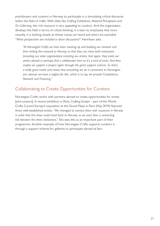practitioners and curators in Norway to participate in a stimulating critical discourse within the field of crafts. With titles like *Crafting Exhibitions*, *Material Perceptions* and *On Collecting*, this rich resource is very appealing to curators. And the organisation develops the field in terms of critical thinking, it is keen to emphasise that more recently, it is looking closely at whose voices are heard and who's are excluded. *"What perspectives are included in these discussions?"* Henriksen asks.

*"At Norwegian Crafts we have been meeting up and building our network and then inviting this network to Norway so that they can meet both institutions (including our sister organisation) including our artists. And again, they invite our artists abroad or perhaps find a collaborator here so it's a kind of circle. And then maybe we support a project again through the grant support scheme. So that's a really good model and shows how everything we do is connected. In Norwegian arts abroad, we have a tagline for this, which is to say, we provide Competence, Network and Financing."* 

#### Collaborating to Create Opportunities for Curators

Norwegian Crafts works with partners abroad to create opportunities for artists [and curators]. A recent exhibition in Paris, *Crafting Europe* – part of the World Crafts Council Europe's exposition at the Grand Palais in Paris (May 2019) featured three well-established artists. "*We managed to connect them with museums in Norway in order that this show could travel back to Norway, so we were then a connecting link between the three institutions.*" She sees this as an important part of their programme. Another example of how Norwegian Crafts supports curators is through a support scheme for galleries to participate abroad at fairs.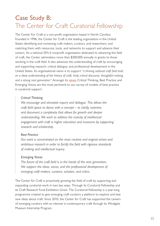## <span id="page-21-0"></span>Case Study B: The Center for Craft Curatorial Fellowship

The Center For Craft is a non-profit organisation based in North Carolina. Founded in 1996, the Center for Craft is the leading organisation in the United States identifying and convening craft makers, curators, and researchers, and matching them with resources, tools, and networks to support and advance their careers. As a national 501c3 nonprofit organisation dedicated to advancing the field of craft, the Center administers more than \$300,000 annually in grants to those working in the craft field. It also advances the understanding of craft by encouraging and supporting research, critical dialogue, and professional development in the United States. Its organisational vision is to support "*a thriving national craft field built on a deep understanding of the history of craft, lively critical discourse, thoughtful making, and a strong next generation*." Amongst its [values](https://www.centerforcraft.org/about) Critical Thinking, Best Practice and Emerging Voices are the most pertinent to our survey of models of best practice in curatorial support.

#### *Critical Thinking*

*We encourage and stimulate inquiry and dialogue. This allows the craft field space to dance with a concept – to clarify, examine, and document a complexity that allows for growth and deeper understanding. We work to address the scarcity of intellectual engagement with craft in higher education and museums by supporting research and scholarship.*

#### *Best Practice*

*Our work is concentrated on the most creative and original artists and ambitious research in order to fortify the field with rigorous standards of making and intellectual inquiry.*

#### *Emerging Voices*

*The future of the craft field is in the hands of the next generation. We support the ideas, voices, and the professional development of emerging craft makers, curators, scholars, and critics.*

The Center for Craft is proactively growing the field of craft by supporting and expanding curatorial work in two key ways. Through its Curatorial Fellowship and its Craft Research Fund Exhibition Grant. The Curatorial Fellowship is a year-long programme created to give emerging craft curators a platform to explore and test new ideas about craft. Since 2010, the Center for Craft has supported the careers of emerging curators with an interest in contemporary craft through its Windgate Museum Internship Program.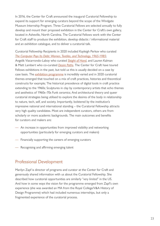In 2016, the Center for Craft announced the inaugural Curatorial Fellowship to expand its support for emerging curators beyond the scope of the Windgate Museum Internship Program. Three Curatorial Fellows are selected annually to fully develop and mount their proposed exhibition in the Center for Craft's own gallery, located in Asheville, North Carolina. The Curatorial Fellows work with the Center for Craft staff to produce the exhibition, develop didactic / informational material and an exhibition catalogue, and to deliver a curatorial talk.

Curatorial Fellowship Recipients in 2020 included Kayleigh Perkov who curated *[The Computer Pays Its Debt: Women, Textiles, and Technology, 1965-1985](https://www.centerforcraft.org/exhibition/the-computer-pays-its-debt-women-textiles-and-technology-1965-1985)*; Angelik Vizcarrondo-Laboy who curated *[Sleight of Hand](https://www.centerforcraft.org/exhibition/the-computer-pays-its-debt-women-textiles-and-technology-1965-1985)*, and Lauren Kalman & Matt Lambert who co-curated *[Desire Paths](https://www.centerforcraft.org/exhibition/the-computer-pays-its-debt-women-textiles-and-technology-1965-1985)*. The Center for Craft have toured Fellows exhibitions in the past, but told us this is usually decided on a case by case basis. The [exhibition programme](https://www.centerforcraft.org/grants-and-fellowships/curatorial-fellowship#recent-fellows) is incredibly varied and in 2020 curatorial themes emerged that touched on a mix of craft practices, histories and theoretical constructs for example; The historical precedence of digital tools in craft practice extending to the 1960s; Sculptures in clay by contemporary artists that echo themes and aesthetics of 1960s–70s Funk ceramics; And architectural theory and queer curatorial strategies being utilised to explore the desires of the body in relationship to nature, tech, self, and society. Importantly, bolstered by the institution's impressive national and international standing – the Curatorial Fellowship attracts very high quality candidates. Most are independent curators, others are from scholarly or more academic backgrounds. The main outcomes and benefits for curators *and* makers are:

- An increase in opportunities from improved visibility and networking opportunities (particularly for emerging curators and makers)
- Financially supporting the careers of emerging curators
- Recognising and affirming emerging talent

#### Professional Development

Marilyn Zapf is director of programs and curator at the Center for Craft and generously shared information with us about the Curatorial Fellowship. She described how curatorial opportunities are similarly "*very limited*" in the US. And how in some ways the vision for the programme emerged from Zapf's own experience (she was awarded an MA from the Royal College/V&A History of Design Programme) which had included numerous internships, but only a fragmented experience of the curatorial process.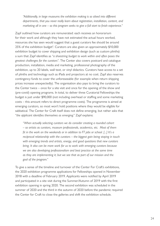*"Additionally, in large museums the exhibition making is so siloed into different departments, that you never really learn about registration, installation, content, and marketing all in one – so this program seeks to give a full start to finish experience."*

Zapf outlined how curators are remunerated: each receives an honorarium for their work and although they have not estimated the actual hours worked, resources she has seen would suggest that a guest curators fee should be around  $25\%$  of the exhibition budget<sup>2</sup>. Curators are also given an approximately  $$10,000$ exhibition budget to cover shipping and exhibition design (such as custom plinths) a sum that Zapf identifies as *"a shoestring budget to work within and often poses the greatest challenges for the curators"*. The Center also covers postcard and catalogue production, installation, media and marketing, professional photography of the exhibition, up to 20 labels, wall text, or vinyl didactics. Curators have access to a set of plinths and technology such as iPads and projectors at no cost. Zapf also reserves contingency funds to cover the unforeseeable (for example when return shipping prices increase unexpectedly). The organisation also pays to bring the curators to the Center twice – once for a site visit and once for the opening of the show and (pre-covid) opening programs. In total, to deliver three Curatorial Fellowships the budget is just under \$90,000 (not including overhead or staffing and some marketing costs – this amount refers to direct programme costs). The programme is aimed at emerging curators, so most won't hold positions where they would be eligible for sabbatical. The Center for Craft itself does not define emerging, but rather asks that "*the applicant identifies themselves as emerging*." Zapf explains:

*"When actually selecting curators we do consider creating a rounded cohort – so artists as curators, museum professionals, academics, etc. Most of them fit in the work on the weekends or in addition to FT jobs or school. [...] It's a reciprocal relationship with the curators – the biggest gain being staying in touch with emerging trends and artists, energy, and good questions that new curators bring. It also can be more work for us to work with emerging curators because we are also developing professionalism and best practice at the same time as they are implementing it; but we see that as part of our mission and the goal of the program."*

To give a sense of the timeline and turnover of the Center For Craft's exhibitions, the 2020 exhibition programme applications for Fellowships opened in November 2018 with a deadline of February 2019. Applicants were notified by April 2019 and participated in a site visit during the Summer/Autumn of 2019 with the first exhibition opening in spring 2020. The second exhibition was scheduled in the summer of 2020 and the third in the autumn of 2020 before the pandemic required the Center for Craft to close the galleries and shift the exhibition schedule.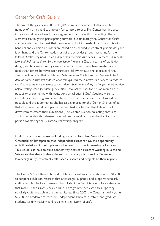#### Center for Craft Gallery

The size of the gallery is 2000 sq ft (185 sq m) and contains plinths, a limited number of vitrines, and technology for curators to use. The Center has fine arts insurance and procedures for loan agreements and condition reporting. These elements are taught to participating curators, but ultimately the Center for Craft staff execute them to meet their own internal liability needs. A team of contract art handlers and exhibition builders are called on as needed. A contract graphic designer is on hand and the Center leads most of the asset design and marketing for the fellows *"particularly because we market the Fellowship as a series – so there is a general look and feel that is driven by the organization"* explains Zapf. In terms of exhibition design, graphics are a case by case situation, as some shows have greater graphic needs than others however each curatorial fellow reviews and approves all the assets pertaining to their exhibition. *"My dream as this program evolves would be to develop some curriculum that we work through with the curators as a cohort, so that we could have some more abstract conversations about label writing and object interpretation before writing labels for shows for example."* We asked Zapf for her opinion on the possibility of partnering with institutions or galleries if Craft Scotland were to institute a similar programme and she advised that she believes that it would be possible and this is something she has also explored for the Center. She identified that a key asset could be if partner venues had a collection that Fellows could draw from to create their exhibitions (The Center is a non-collecting entity) as Zapf assesses that this element does add more work and coordination for the person overseeing the Curatorial Fellowship program.

Craft Scotland could consider funding visits to places like North Lands Creative, Gracefield or Timespan so that independent curators have the opportunity to build relationships with places and venues that have interesting collections. This would also help to build connectivity between curators working in Scotland. We know that there is also a desire from arts organisations like Deveron Projects (Huntly) to attract craft based curators and projects to their regions.

—

—

The Center's Craft Research Fund Exhibition Grant awards curators up to \$15,000 to support exhibition research that encourages, expands, and supports scholarly craft research. The Craft Research Fund Exhibition Grant is one of four categories that make up the Craft Research Fund, a programme dedicated to supporting scholarly craft research in the United States. Since 2005 the Center annually grants \$95,000 to academic researchers, independent scholars, curators, and graduate students writing, revising, and reclaiming the history of craft.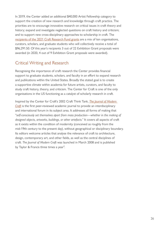In 2019, the Center added an additional \$40,000 Artist Fellowship category to support the creation of new research and knowledge through craft practice. The priorities are to encourage innovative research on critical issues in craft theory and history; expand and investigate neglected questions on craft history and criticism; and to support new cross-disciplinary approaches to scholarship in craft. The [recipients of the 2021 Craft Research Fund grants](https://www.centerforcraft.org/grants-and-fellowships/craft-research-fund-exhibition-grant#recent-recipients) are a mix of ten organisations, curators, scholars, and graduate students who will collectively receive a total of \$96,291.50. Of this year's recipients 3 out of 22 Exhibition Grant proposals were awarded (in 2020, 4 out of 9 Exhibition Grant proposals were awarded).

#### Critical Writing and Research

Recognising the importance of craft research the Center provides financial support to graduate students, scholars, and faculty in an effort to expand research and publications within the United States. Broadly the stated goal is to create a supportive climate within academia for future artists, curators, and faculty to study craft history, theory, and criticism. The Center for Craft is one of the only organisations in the US functioning as a catalyst of scholarly research in craft.

Inspired by the Center for Craft's 2002 Craft Think Tank, *[The Journal of Modern](https://journalofmoderncraft.com/)  [Craft](https://journalofmoderncraft.com/)* is the first peer-reviewed academic journal to provide an interdisciplinary and international forum in its subject area. It addresses all forms of making that "*self-consciously set themselves apart from mass production—whether in the making of designed objects, artworks, buildings, or other artefacts."* It covers all aspects of craft as it exists within the condition of modernity (conceived as roughly from the mid-19th century to the present day), without geographical or disciplinary boundary. Its editors welcome articles that analyse the relevance of craft to architecture, design, contemporary art, and other fields, as well as the central disciplines of craft. *The Journal of Modern Craft* was launched in March 2008 and is published by Taylor & Francis three times a year<sup>3</sup>. .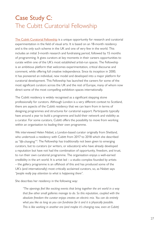## <span id="page-26-0"></span>Case Study C: The Cubitt Curatorial Fellowship

[The Cubitt Curatorial Fellowship](https://www.cubittartists.org.uk/) is a unique opportunity for research and curatorial experimentation in the field of visual arts. It is based on an 18-month residency and is the only such scheme in the UK and one of very few in the world. This includes an initial 3-month research and fundraising period, followed by 15 months of programming. It gives curators at key moments in their careers opportunities to curate within one of the UK's most established artist-run spaces. The Fellowship is an ambitious platform that welcomes experimentation, critical discourse and comment, while offering full creative independence. Since its inception in 2000, it has pioneered an individual, new model and developed into a major platform for curatorial development. This Fellowship has launched the careers for some of the most significant curators across the UK and the rest of Europe, many of whom now direct some of the most compelling exhibition spaces internationally.

The Cubitt residency is widely recognised as a significant stepping stone professionally for curators. Although London is a very different context to Scotland, there are aspects of the Cubitt residency that we can learn from in terms of designing programmes and structures for curatorial support. Participants typically have around a year to build a programme and build their network and visibility as a curator. For some curators, Cubitt offers the possibility to move from working within an organisation to leading their own programme.

We interviewed Helen Nisbet, a London-based curator originally from Shetland, who undertook a residency with Cubitt from 2017 to 2018 which she described as "life-changing"<sup>4</sup>. The Fellowship has traditionally not been given to emerging curators, but to curators (or writers, or educators) who have already developed a reputation but have not had the combination of opportunity, freedom, and trust, to run their own curatorial programme. The organisation enjoys a well-earned credibility in the art world. It is artist  $led - a$  studio complex founded by artists – the gallery programme is an offshoot of this and has produced some of the UK's (and internationally) most critically acclaimed curators, so, as Nisbet says *"people really pay attention to what is happening there"*.

She describes her residency in the following way:

*"The openings feel like exciting events that bring together the art world in a way that few other small galleries manage to do. So this reputation, coupled with the absolute freedom the curator enjoys creates an electric mix. You can do entirely what you like as long as you can fundraise for it and it is physically possible. This is like working in another era (and maybe it's changing now, even at Cubitt)*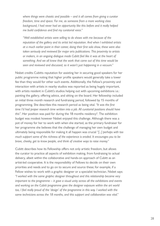*where things were chaotic and possible – and it all comes from giving a curator freedom, time and space. For me, as someone from a more working class background, I had never had an opportunity like this before and it really helped me build confidence and find my curatorial voice."*

*"Well established artists were willing to do shows with me because of the reputation of the gallery and its artist led reputation. And when I exhibited artists at a much earlier point in their career, doing their first solo show, these were also taken seriously and reviewed for major arts publications. This proximity to artists or makers, in an ongoing dialogue made Cubitt feel like it was at the heart of something. And we all knew that the work that came out of this time would be seen and reviewed and discussed, so it wasn't just happening in a vacuum."* 

Nisbet credits Cubitts reputation for assisting her in securing good speakers for her public programme noting that higher profile speakers would generally take a lower fee than they would for other such events. Additionally, the Fellow's proximity and interaction with artists in nearby studios was reported as being hugely important, with artists resident in Cubitt's studios helping out with upcoming exhibitions *i.e.*: painting the gallery, offering advice, and sitting on the board. Her fellowship included an initial three month research and fundraising period, followed by 15 months of programming. She describes this research period as being vital. *"It was the first time I'd had proper research time written into a job. All curatorial positions should have*  this". Her position was paid for during the 18 months residency<sup>5</sup>. The exhibition budget was modest however Nisbet enjoyed this challenge. Although there was a pot of money for her to work with when she started, as the primary fundraiser for her programme she believes that the challenge of managing her own budget and ultimately being responsible for making it all happen was crucial *"[...] perhaps with too much support some of the richness of the experience is eroded. It encourages you to be brave, cheeky, get to know people, and think of creative ways to raise money."* 

Cubitt describes how its Fellowship offers not only artistic freedom, but allows the curator to practice all aspects of exhibition making, from fundraising to actual delivery, albeit within the collaborative and hands-on approach of Cubitt as an artist-led cooperative. It is the responsibility of Fellows to decide on their own priorities and needs and to go on to secure and source these; for example, if a Fellow wishes to work with a graphic designer or a specialist technician. Nisbet says: *"I worked with the same graphic designer throughout and this relationship became very important to the programme – it gave a visual unity across all the exhibitions and events and working on the Cubitt programme gave the designer exposure within the art world too, I feel really proud of the 'design' of the programme in this way. I worked with the same technicians across the 18 months, and this support and collaboration was vital."*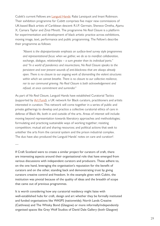Cubitt's current Fellows are [Languid Hands:](https://www.cubittartists.org.uk/languid-hands) Rabz Lansiquot and Imani Robinson. Their exhibition programme for Cubitt comprises five major new commissions of UK-based Black artists of Caribbean descent: R.I.P. Germain, Shenece Oretha, Ajamu X, Camara Taylor and Zinzi Minott. The programme *No Real Closure* is a platform for experimentation and development of black artistic practice across exhibitions, moving image, text, performance and public programming. The Fellow's describe their programme as follows:

*"Absent is the disproportionate emphasis on surface-level survey style programmes and representational focus: when we gather, we do so to manifest collaboration, exchange, dialogue, relationships – a sum greater than its individual parts." and "In a world of pandemics and insurrections, No Real Closure speaks to the persistent and ever present wounds of anti-blackness that are always already open. There is no closure to our ongoing work of dismantling the violent structures*  within which we cannot breathe. There is no closure to our collective resilience. *nor to our communal grieving. No Real Closure is both acknowledgement and refusal, at once commitment and surrender."* 

As part of *No Real Closure*, Languid Hands have established Curatorial Tactics (supported by [Art Fund](https://www.artfund.org/national-art-pass?gclid=CjwKCAjwx9_4BRAHEiwApAt0zqnDJJW-mMb_7D3Xojr2lop30DdzrP1AR7Q05NnqXcFR9BJX_r5mxBoCnDsQAvD_BwE&gclsrc=aw.ds)), a UK network for Black curators, practitioners and artists interested in curation. This network will come together in a series of public and private gatherings to develop and practice a collective curatorial ethics of care in defense of Black life, both in and outside of the arts. Areas of interest will include: moving beyond representation towards liberatory approaches and methodologies; formulating and practicing sustainable ways of working together; resisting competition; mutual aid and sharing resources; and political actions that seek to untether the arts from the carceral system and the prison industrial complex. The duo have also produced the Languid Hands' notes on care and curation<sup>6</sup>. .

—

If Craft Scotland were to create a similar project for curators of craft, there are interesting aspects around their organisational role that have emerged from various discussions with independent curators and producers. These adhere to, on the one hand, leveraging the organisation's reputation for the benefit of curators and on the other, standing back and demonstrating trust by giving curators creative control and freedom. In the example given with Cubitt, the institution was pivotal because of the quality of ideas and the breadth of scope that came out of previous programmes.

It is worth considering how any curatorial residency might liaise with well-established hubs for craft, design and art whether they be formally instituted and funded organisations like WASPS (nationwide); North Lands Creative (Caithness) and The Whisky Bond (Glasgow) or more informally/independently organised spaces like Grey Wolf Studios of David Dale Gallery (both Glasgow)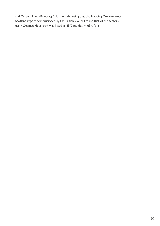and Custom Lane (Edinburgh). It is worth noting that the Mapping Creative Hubs Scotland report commissioned by the British Council found that of the sectors using Creative Hubs craft was listed as  $65\%$  and design  $63\%$  (p16)<sup>7</sup>.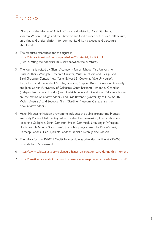#### <span id="page-30-0"></span>Endnotes

- 1 Director of the Master of Arts in Critical and Historical Craft Studies at Warren Wilson College and the Director and Co-Founder of Critical Craft Forum, an online and onsite platform for community driven dialogue and discourse about craft.
- 2 The resource referenced for this figure is [https://visualarts.net.au/media/uploads/files/Curatorial\\_Toolkit.pdf](https://visualarts.net.au/media/uploads/files/Curatorial_Toolkit.pdf) (If co-curating the honorarium is split between the curators).
- 3 The journal is edited by Glenn Adamson (Senior Scholar, Yale University), Elissa Auther (Windgate Research Curator, Museum of Art and Design and Bard Graduate Center, New York), Edward S. Cooke Jr. (Yale University), Tanya Harrod (Independent Scholar, London), Stephen Knott (Kingston University) and Jenni Sorkin (University of California, Santa Barbara). Kimberley Chandler (Independent Scholar, London) and Kayleigh Perkov (University of California, Irvine) are the exhibition review editors, and Livia Rezende (University of New South Wales, Australia) and Sequoia Miller (Gardiner Museum, Canada) are the book review editors.
- 4 Helen Nisbet's exhibition programme included: the public programme Houses are really Bodies; Mark Leckey: Affect Bridge Age Regression; The Landscape – Josephine Callaghan, Sarah Cameron; Helen Cammock: Shouting in Whispers; Flo Brooks: Is Now a Good Time?; the public programme The Driver's Seat; Hardeep Pandhal: Liar Hydrant; Landed: Denielle Dean, Janine Oleson.
- 5 The salary for the 2020/21 Cubitt Fellowship was advertised online at £25,000 pro-rata for 3.5 days/week
- 6 <https://www.cubittartists.org.uk/languid-hands-on-curation-care-during-this-moment>
- 7 [https://creativeconomy.britishcouncil.org/resources/mapping-creative-hubs-scotlan](https://creativeconomy.britishcouncil.org/resources/mapping-creative-hubs-scotland/)d/